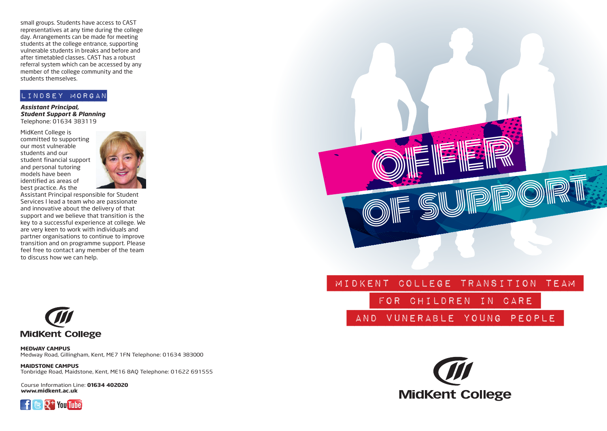small groups. Students have access to CAST representatives at any time during the college day. Arrangements can be made for meeting students at the college entrance, supporting vulnerable students in breaks and before and after timetabled classes. CAST has a robust referral system which can be accessed by any member of the college community and the students themselves.

### lindsey morgan

*Assistant Principal, Student Support & Planning* Telephone: 01634 383119

MidKent College is committed to supporting our most vulnerable students and our student financial support and personal tutoring models have been identified as areas of best practice. As the



Assistant Principal responsible for Student Services I lead a team who are passionate and innovative about the delivery of that support and we believe that transition is the key to a successful experience at college. We are very keen to work with individuals and partner organisations to continue to improve transition and on programme support. Please feel free to contact any member of the team to discuss how we can help.



**MEDWAY CAMPUS** Medway Road, Gillingham, Kent, ME7 1FN Telephone: 01634 383000

**MAIDSTONE CAMPUS** Tonbridge Road, Maidstone, Kent, ME16 8AQ Telephone: 01622 691555

Course Information Line: **01634 402020 www.midkent.ac.uk**





for Children in Care

and Vunerable Young People